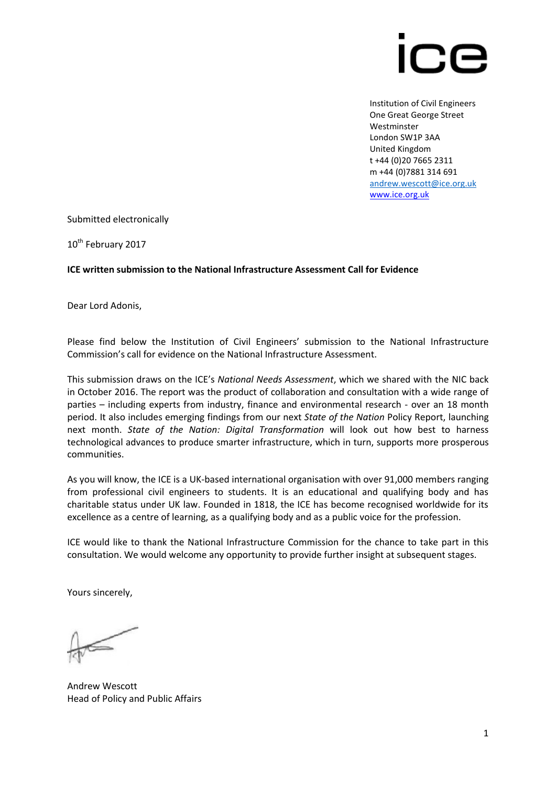

Institution of Civil Engineers One Great George Street Westminster London SW1P 3AA United Kingdom t +44 (0)20 7665 2311 m +44 (0)7881 314 691 [andrew.wescott@ice.org.uk](mailto:andrew.wescott@ice.org.uk) [www.ice.org.uk](http://www.ice.org.uk/)

Submitted electronically

10<sup>th</sup> February 2017

#### **ICE written submission to the National Infrastructure Assessment Call for Evidence**

Dear Lord Adonis,

Please find below the Institution of Civil Engineers' submission to the National Infrastructure Commission's call for evidence on the National Infrastructure Assessment.

This submission draws on the ICE's *National Needs Assessment*, which we shared with the NIC back in October 2016. The report was the product of collaboration and consultation with a wide range of parties – including experts from industry, finance and environmental research - over an 18 month period. It also includes emerging findings from our next *State of the Nation* Policy Report, launching next month. *State of the Nation: Digital Transformation* will look out how best to harness technological advances to produce smarter infrastructure, which in turn, supports more prosperous communities.

As you will know, the ICE is a UK-based international organisation with over 91,000 members ranging from professional civil engineers to students. It is an educational and qualifying body and has charitable status under UK law. Founded in 1818, the ICE has become recognised worldwide for its excellence as a centre of learning, as a qualifying body and as a public voice for the profession.

ICE would like to thank the National Infrastructure Commission for the chance to take part in this consultation. We would welcome any opportunity to provide further insight at subsequent stages.

Yours sincerely,

Andrew Wescott Head of Policy and Public Affairs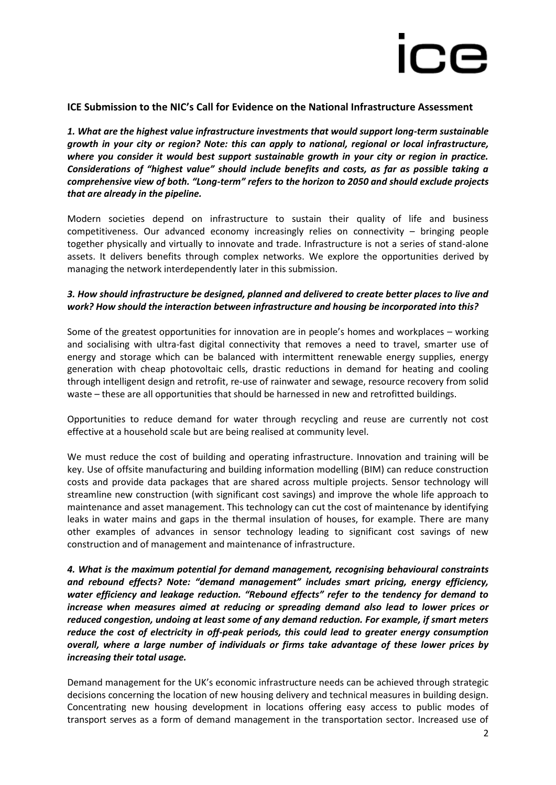

#### **ICE Submission to the NIC's Call for Evidence on the National Infrastructure Assessment**

*1. What are the highest value infrastructure investments that would support long-term sustainable growth in your city or region? Note: this can apply to national, regional or local infrastructure, where you consider it would best support sustainable growth in your city or region in practice. Considerations of "highest value" should include benefits and costs, as far as possible taking a comprehensive view of both. "Long-term" refers to the horizon to 2050 and should exclude projects that are already in the pipeline.*

Modern societies depend on infrastructure to sustain their quality of life and business competitiveness. Our advanced economy increasingly relies on connectivity – bringing people together physically and virtually to innovate and trade. Infrastructure is not a series of stand-alone assets. It delivers benefits through complex networks. We explore the opportunities derived by managing the network interdependently later in this submission.

#### *3. How should infrastructure be designed, planned and delivered to create better places to live and work? How should the interaction between infrastructure and housing be incorporated into this?*

Some of the greatest opportunities for innovation are in people's homes and workplaces – working and socialising with ultra-fast digital connectivity that removes a need to travel, smarter use of energy and storage which can be balanced with intermittent renewable energy supplies, energy generation with cheap photovoltaic cells, drastic reductions in demand for heating and cooling through intelligent design and retrofit, re-use of rainwater and sewage, resource recovery from solid waste – these are all opportunities that should be harnessed in new and retrofitted buildings.

Opportunities to reduce demand for water through recycling and reuse are currently not cost effective at a household scale but are being realised at community level.

We must reduce the cost of building and operating infrastructure. Innovation and training will be key. Use of offsite manufacturing and building information modelling (BIM) can reduce construction costs and provide data packages that are shared across multiple projects. Sensor technology will streamline new construction (with significant cost savings) and improve the whole life approach to maintenance and asset management. This technology can cut the cost of maintenance by identifying leaks in water mains and gaps in the thermal insulation of houses, for example. There are many other examples of advances in sensor technology leading to significant cost savings of new construction and of management and maintenance of infrastructure.

*4. What is the maximum potential for demand management, recognising behavioural constraints and rebound effects? Note: "demand management" includes smart pricing, energy efficiency, water efficiency and leakage reduction. "Rebound effects" refer to the tendency for demand to increase when measures aimed at reducing or spreading demand also lead to lower prices or reduced congestion, undoing at least some of any demand reduction. For example, if smart meters reduce the cost of electricity in off-peak periods, this could lead to greater energy consumption overall, where a large number of individuals or firms take advantage of these lower prices by increasing their total usage.*

Demand management for the UK's economic infrastructure needs can be achieved through strategic decisions concerning the location of new housing delivery and technical measures in building design. Concentrating new housing development in locations offering easy access to public modes of transport serves as a form of demand management in the transportation sector. Increased use of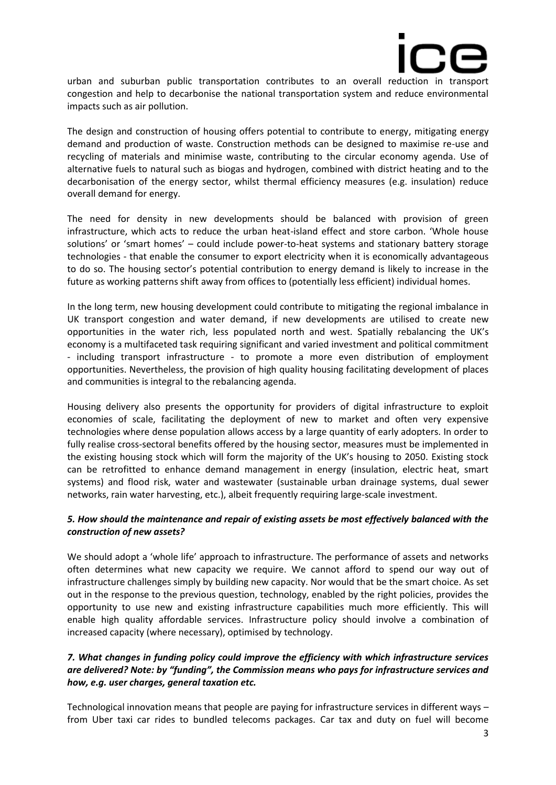

urban and suburban public transportation contributes to an overall reduction in transport congestion and help to decarbonise the national transportation system and reduce environmental impacts such as air pollution.

The design and construction of housing offers potential to contribute to energy, mitigating energy demand and production of waste. Construction methods can be designed to maximise re-use and recycling of materials and minimise waste, contributing to the circular economy agenda. Use of alternative fuels to natural such as biogas and hydrogen, combined with district heating and to the decarbonisation of the energy sector, whilst thermal efficiency measures (e.g. insulation) reduce overall demand for energy.

The need for density in new developments should be balanced with provision of green infrastructure, which acts to reduce the urban heat-island effect and store carbon. 'Whole house solutions' or 'smart homes' – could include power-to-heat systems and stationary battery storage technologies - that enable the consumer to export electricity when it is economically advantageous to do so. The housing sector's potential contribution to energy demand is likely to increase in the future as working patterns shift away from offices to (potentially less efficient) individual homes.

In the long term, new housing development could contribute to mitigating the regional imbalance in UK transport congestion and water demand, if new developments are utilised to create new opportunities in the water rich, less populated north and west. Spatially rebalancing the UK's economy is a multifaceted task requiring significant and varied investment and political commitment - including transport infrastructure - to promote a more even distribution of employment opportunities. Nevertheless, the provision of high quality housing facilitating development of places and communities is integral to the rebalancing agenda.

Housing delivery also presents the opportunity for providers of digital infrastructure to exploit economies of scale, facilitating the deployment of new to market and often very expensive technologies where dense population allows access by a large quantity of early adopters. In order to fully realise cross-sectoral benefits offered by the housing sector, measures must be implemented in the existing housing stock which will form the majority of the UK's housing to 2050. Existing stock can be retrofitted to enhance demand management in energy (insulation, electric heat, smart systems) and flood risk, water and wastewater (sustainable urban drainage systems, dual sewer networks, rain water harvesting, etc.), albeit frequently requiring large-scale investment.

#### *5. How should the maintenance and repair of existing assets be most effectively balanced with the construction of new assets?*

We should adopt a 'whole life' approach to infrastructure. The performance of assets and networks often determines what new capacity we require. We cannot afford to spend our way out of infrastructure challenges simply by building new capacity. Nor would that be the smart choice. As set out in the response to the previous question, technology, enabled by the right policies, provides the opportunity to use new and existing infrastructure capabilities much more efficiently. This will enable high quality affordable services. Infrastructure policy should involve a combination of increased capacity (where necessary), optimised by technology.

#### *7. What changes in funding policy could improve the efficiency with which infrastructure services are delivered? Note: by "funding", the Commission means who pays for infrastructure services and how, e.g. user charges, general taxation etc.*

Technological innovation means that people are paying for infrastructure services in different ways – from Uber taxi car rides to bundled telecoms packages. Car tax and duty on fuel will become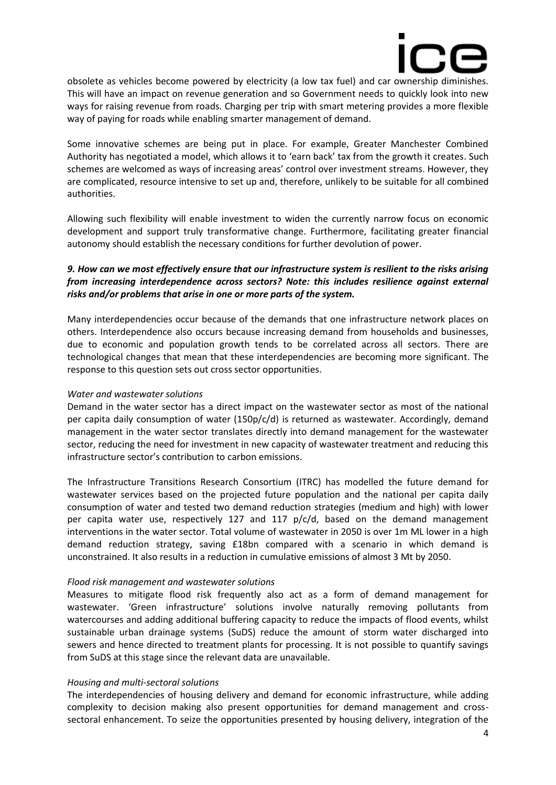

obsolete as vehicles become powered by electricity (a low tax fuel) and car ownership diminishes. This will have an impact on revenue generation and so Government needs to quickly look into new ways for raising revenue from roads. Charging per trip with smart metering provides a more flexible way of paying for roads while enabling smarter management of demand.

Some innovative schemes are being put in place. For example, Greater Manchester Combined Authority has negotiated a model, which allows it to 'earn back' tax from the growth it creates. Such schemes are welcomed as ways of increasing areas' control over investment streams. However, they are complicated, resource intensive to set up and, therefore, unlikely to be suitable for all combined authorities.

Allowing such flexibility will enable investment to widen the currently narrow focus on economic development and support truly transformative change. Furthermore, facilitating greater financial autonomy should establish the necessary conditions for further devolution of power.

#### *9. How can we most effectively ensure that our infrastructure system is resilient to the risks arising from increasing interdependence across sectors? Note: this includes resilience against external risks and/or problems that arise in one or more parts of the system.*

Many interdependencies occur because of the demands that one infrastructure network places on others. Interdependence also occurs because increasing demand from households and businesses, due to economic and population growth tends to be correlated across all sectors. There are technological changes that mean that these interdependencies are becoming more significant. The response to this question sets out cross sector opportunities.

#### *Water and wastewater solutions*

Demand in the water sector has a direct impact on the wastewater sector as most of the national per capita daily consumption of water (150p/c/d) is returned as wastewater. Accordingly, demand management in the water sector translates directly into demand management for the wastewater sector, reducing the need for investment in new capacity of wastewater treatment and reducing this infrastructure sector's contribution to carbon emissions.

The Infrastructure Transitions Research Consortium (ITRC) has modelled the future demand for wastewater services based on the projected future population and the national per capita daily consumption of water and tested two demand reduction strategies (medium and high) with lower per capita water use, respectively 127 and 117 p/c/d, based on the demand management interventions in the water sector. Total volume of wastewater in 2050 is over 1m ML lower in a high demand reduction strategy, saving £18bn compared with a scenario in which demand is unconstrained. It also results in a reduction in cumulative emissions of almost 3 Mt by 2050.

#### *Flood risk management and wastewater solutions*

Measures to mitigate flood risk frequently also act as a form of demand management for wastewater. 'Green infrastructure' solutions involve naturally removing pollutants from watercourses and adding additional buffering capacity to reduce the impacts of flood events, whilst sustainable urban drainage systems (SuDS) reduce the amount of storm water discharged into sewers and hence directed to treatment plants for processing. It is not possible to quantify savings from SuDS at this stage since the relevant data are unavailable.

#### *Housing and multi-sectoral solutions*

The interdependencies of housing delivery and demand for economic infrastructure, while adding complexity to decision making also present opportunities for demand management and crosssectoral enhancement. To seize the opportunities presented by housing delivery, integration of the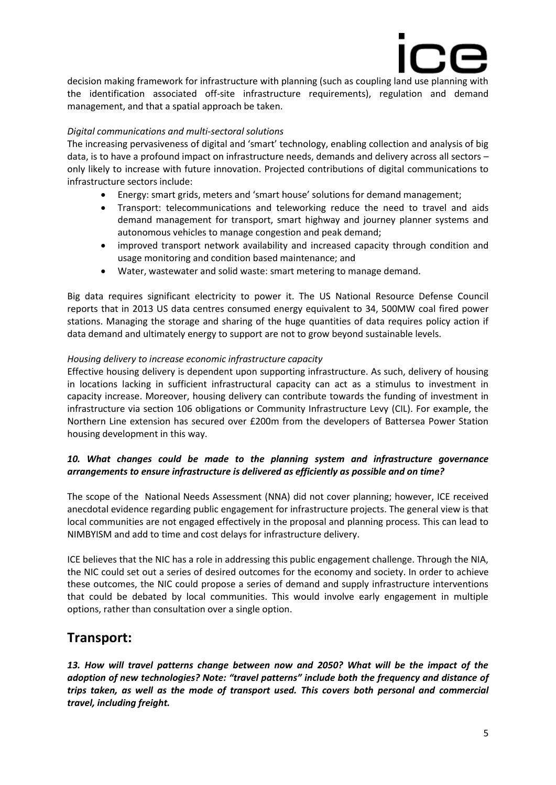

decision making framework for infrastructure with planning (such as coupling land use planning with the identification associated off-site infrastructure requirements), regulation and demand management, and that a spatial approach be taken.

#### *Digital communications and multi-sectoral solutions*

The increasing pervasiveness of digital and 'smart' technology, enabling collection and analysis of big data, is to have a profound impact on infrastructure needs, demands and delivery across all sectors – only likely to increase with future innovation. Projected contributions of digital communications to infrastructure sectors include:

- Energy: smart grids, meters and 'smart house' solutions for demand management;
- Transport: telecommunications and teleworking reduce the need to travel and aids demand management for transport, smart highway and journey planner systems and autonomous vehicles to manage congestion and peak demand;
- improved transport network availability and increased capacity through condition and usage monitoring and condition based maintenance; and
- Water, wastewater and solid waste: smart metering to manage demand.

Big data requires significant electricity to power it. The US National Resource Defense Council reports that in 2013 US data centres consumed energy equivalent to 34, 500MW coal fired power stations. Managing the storage and sharing of the huge quantities of data requires policy action if data demand and ultimately energy to support are not to grow beyond sustainable levels.

#### *Housing delivery to increase economic infrastructure capacity*

Effective housing delivery is dependent upon supporting infrastructure. As such, delivery of housing in locations lacking in sufficient infrastructural capacity can act as a stimulus to investment in capacity increase. Moreover, housing delivery can contribute towards the funding of investment in infrastructure via section 106 obligations or Community Infrastructure Levy (CIL). For example, the Northern Line extension has secured over £200m from the developers of Battersea Power Station housing development in this way.

#### *10. What changes could be made to the planning system and infrastructure governance arrangements to ensure infrastructure is delivered as efficiently as possible and on time?*

The scope of the National Needs Assessment (NNA) did not cover planning; however, ICE received anecdotal evidence regarding public engagement for infrastructure projects. The general view is that local communities are not engaged effectively in the proposal and planning process. This can lead to NIMBYISM and add to time and cost delays for infrastructure delivery.

ICE believes that the NIC has a role in addressing this public engagement challenge. Through the NIA, the NIC could set out a series of desired outcomes for the economy and society. In order to achieve these outcomes, the NIC could propose a series of demand and supply infrastructure interventions that could be debated by local communities. This would involve early engagement in multiple options, rather than consultation over a single option.

## **Transport:**

*13. How will travel patterns change between now and 2050? What will be the impact of the adoption of new technologies? Note: "travel patterns" include both the frequency and distance of trips taken, as well as the mode of transport used. This covers both personal and commercial travel, including freight.*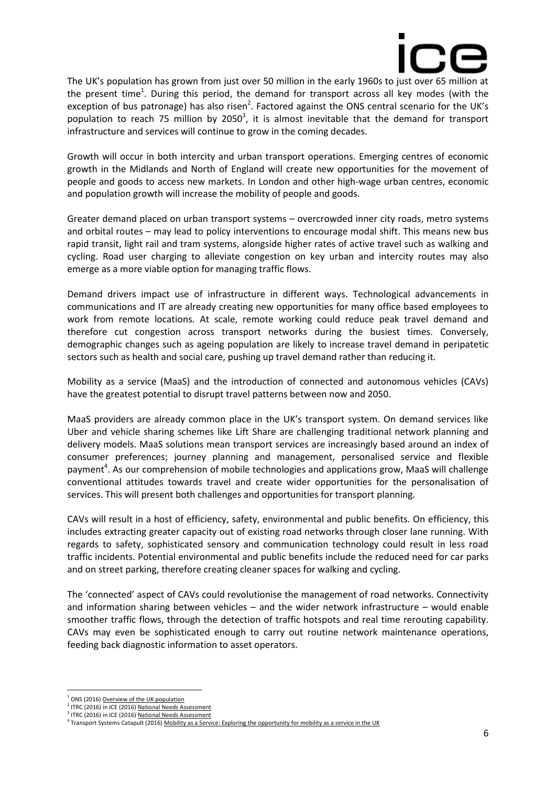

The UK's population has grown from just over 50 million in the early 1960s to just over 65 million at the present time<sup>1</sup>. During this period, the demand for transport across all key modes (with the exception of bus patronage) has also risen<sup>2</sup>. Factored against the ONS central scenario for the UK's population to reach 75 million by 2050<sup>3</sup>, it is almost inevitable that the demand for transport infrastructure and services will continue to grow in the coming decades.

Growth will occur in both intercity and urban transport operations. Emerging centres of economic growth in the Midlands and North of England will create new opportunities for the movement of people and goods to access new markets. In London and other high-wage urban centres, economic and population growth will increase the mobility of people and goods.

Greater demand placed on urban transport systems – overcrowded inner city roads, metro systems and orbital routes – may lead to policy interventions to encourage modal shift. This means new bus rapid transit, light rail and tram systems, alongside higher rates of active travel such as walking and cycling. Road user charging to alleviate congestion on key urban and intercity routes may also emerge as a more viable option for managing traffic flows.

Demand drivers impact use of infrastructure in different ways. Technological advancements in communications and IT are already creating new opportunities for many office based employees to work from remote locations. At scale, remote working could reduce peak travel demand and therefore cut congestion across transport networks during the busiest times. Conversely, demographic changes such as ageing population are likely to increase travel demand in peripatetic sectors such as health and social care, pushing up travel demand rather than reducing it.

Mobility as a service (MaaS) and the introduction of connected and autonomous vehicles (CAVs) have the greatest potential to disrupt travel patterns between now and 2050.

MaaS providers are already common place in the UK's transport system. On demand services like Uber and vehicle sharing schemes like Lift Share are challenging traditional network planning and delivery models. MaaS solutions mean transport services are increasingly based around an index of consumer preferences; journey planning and management, personalised service and flexible payment<sup>4</sup>. As our comprehension of mobile technologies and applications grow, MaaS will challenge conventional attitudes towards travel and create wider opportunities for the personalisation of services. This will present both challenges and opportunities for transport planning.

CAVs will result in a host of efficiency, safety, environmental and public benefits. On efficiency, this includes extracting greater capacity out of existing road networks through closer lane running. With regards to safety, sophisticated sensory and communication technology could result in less road traffic incidents. Potential environmental and public benefits include the reduced need for car parks and on street parking, therefore creating cleaner spaces for walking and cycling.

The 'connected' aspect of CAVs could revolutionise the management of road networks. Connectivity and information sharing between vehicles – and the wider network infrastructure – would enable smoother traffic flows, through the detection of traffic hotspots and real time rerouting capability. CAVs may even be sophisticated enough to carry out routine network maintenance operations, feeding back diagnostic information to asset operators.

<sup>&</sup>lt;sup>1</sup> ONS (2016[\) Overview of the UK population](https://www.ons.gov.uk/peoplepopulationandcommunity/populationandmigration/populationestimates/articles/overviewoftheukpopulation/february2016)

<sup>&</sup>lt;sup>2</sup> ITRC (2016) in ICE (2016[\) National Needs Assessment](https://www.ice.org.uk/getattachment/media-and-policy/policy/national-needs-assessment-a-vision-for-uk-infrastr/National-Needs-Assessment-PDF-(1).pdf.aspx)

<sup>&</sup>lt;sup>3</sup> ITRC (2016) in ICE (2016[\) National Needs Assessment](https://www.ice.org.uk/getattachment/media-and-policy/policy/national-needs-assessment-a-vision-for-uk-infrastr/National-Needs-Assessment-PDF-(1).pdf.aspx)

<sup>&</sup>lt;sup>4</sup> Transport Systems Catapult (2016) [Mobility as a Service: Exploring the opportunity for mobility as a service in the UK](https://ts.catapult.org.uk/wp-content/uploads/2016/07/Mobility-as-a-Service_Exploring-the-Opportunity-for-MaaS-in-the-UK-Web.pdf)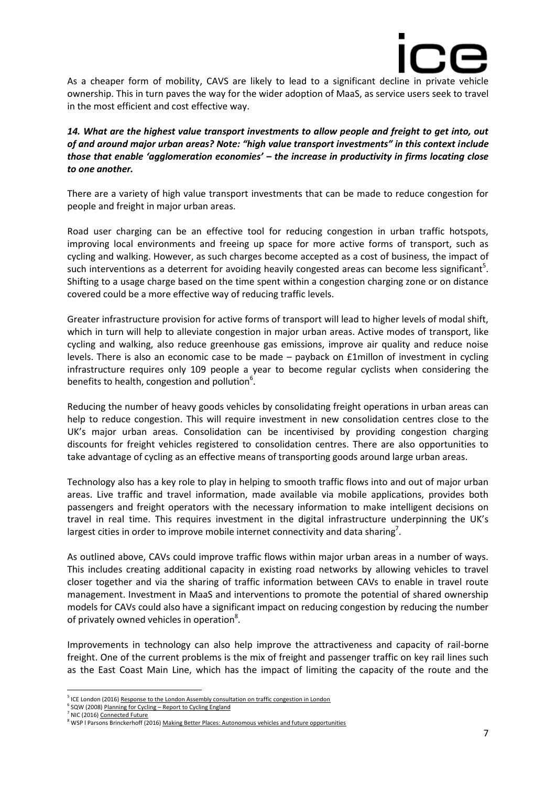

As a cheaper form of mobility, CAVS are likely to lead to a significant decline in private vehicle ownership. This in turn paves the way for the wider adoption of MaaS, as service users seek to travel in the most efficient and cost effective way.

*14. What are the highest value transport investments to allow people and freight to get into, out of and around major urban areas? Note: "high value transport investments" in this context include those that enable 'agglomeration economies' – the increase in productivity in firms locating close to one another.*

There are a variety of high value transport investments that can be made to reduce congestion for people and freight in major urban areas.

Road user charging can be an effective tool for reducing congestion in urban traffic hotspots, improving local environments and freeing up space for more active forms of transport, such as cycling and walking. However, as such charges become accepted as a cost of business, the impact of such interventions as a deterrent for avoiding heavily congested areas can become less significant<sup>5</sup>. Shifting to a usage charge based on the time spent within a congestion charging zone or on distance covered could be a more effective way of reducing traffic levels.

Greater infrastructure provision for active forms of transport will lead to higher levels of modal shift, which in turn will help to alleviate congestion in major urban areas. Active modes of transport, like cycling and walking, also reduce greenhouse gas emissions, improve air quality and reduce noise levels. There is also an economic case to be made – payback on £1millon of investment in cycling infrastructure requires only 109 people a year to become regular cyclists when considering the benefits to health, congestion and pollution $6$ .

Reducing the number of heavy goods vehicles by consolidating freight operations in urban areas can help to reduce congestion. This will require investment in new consolidation centres close to the UK's major urban areas. Consolidation can be incentivised by providing congestion charging discounts for freight vehicles registered to consolidation centres. There are also opportunities to take advantage of cycling as an effective means of transporting goods around large urban areas.

Technology also has a key role to play in helping to smooth traffic flows into and out of major urban areas. Live traffic and travel information, made available via mobile applications, provides both passengers and freight operators with the necessary information to make intelligent decisions on travel in real time. This requires investment in the digital infrastructure underpinning the UK's largest cities in order to improve mobile internet connectivity and data sharing<sup>7</sup>.

As outlined above, CAVs could improve traffic flows within major urban areas in a number of ways. This includes creating additional capacity in existing road networks by allowing vehicles to travel closer together and via the sharing of traffic information between CAVs to enable in travel route management. Investment in MaaS and interventions to promote the potential of shared ownership models for CAVs could also have a significant impact on reducing congestion by reducing the number of privately owned vehicles in operation<sup>8</sup>.

Improvements in technology can also help improve the attractiveness and capacity of rail-borne freight. One of the current problems is the mix of freight and passenger traffic on key rail lines such as the East Coast Main Line, which has the impact of limiting the capacity of the route and the

<sup>&</sup>lt;sup>5</sup> ICE London (2016[\) Response to the London Assembly consultation on traffic congestion in London](https://www.ice.org.uk/getattachment/near-you/uk/london/publications/response-to-traffic-congestion-in-london/Response-to-the-Consultation-on-Traffic-Congestion-in-London.pdf.aspx)

<sup>&</sup>lt;sup>6</sup> SQW (2008) Planning for Cycling - [Report to Cycling England](http://webarchive.nationalarchives.gov.uk/20110407094607/http:/www.dft.gov.uk/cyclingengland/site/wp-content/uploads/2009/03/planning-for-cycling-report-10-3-09.pdf)

<sup>&</sup>lt;sup>7</sup> NIC (2016[\) Connected Future](https://www.gov.uk/government/uploads/system/uploads/attachment_data/file/577906/CONNECTED_FUTURE_ACCESSIBLE.pdf)

<sup>8</sup> WSP l Parsons Brinckerhoff (2016[\) Making Better Places: Autonomous vehicles and future opportunities](http://www.wsp-pb.com/Globaln/UK/WSPPB-Farrells-AV-whitepaper.pdf)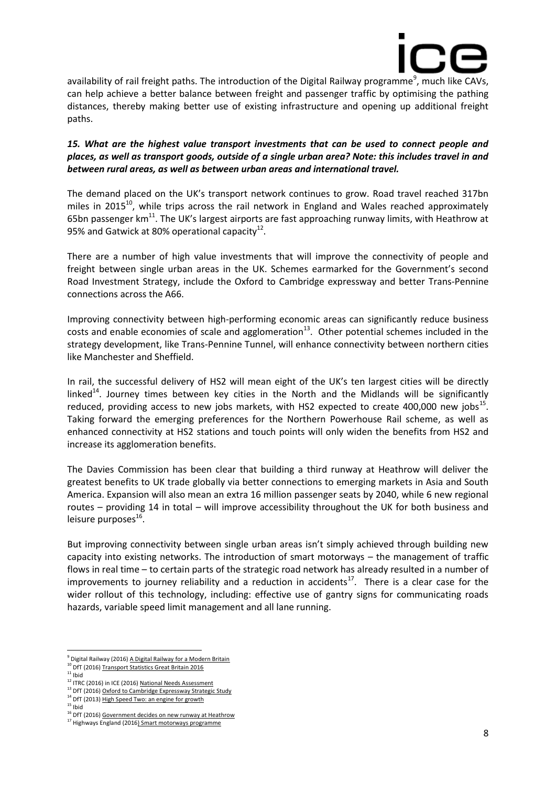

availability of rail freight paths. The introduction of the Digital Railway programme<sup>9</sup>, much like CAVs, can help achieve a better balance between freight and passenger traffic by optimising the pathing distances, thereby making better use of existing infrastructure and opening up additional freight paths.

#### 15. What are the highest value transport investments that can be used to connect people and *places, as well as transport goods, outside of a single urban area? Note: this includes travel in and between rural areas, as well as between urban areas and international travel.*

The demand placed on the UK's transport network continues to grow. Road travel reached 317bn miles in 2015 $^{10}$ , while trips across the rail network in England and Wales reached approximately 65bn passenger  $km^{11}$ . The UK's largest airports are fast approaching runway limits, with Heathrow at 95% and Gatwick at 80% operational capacity<sup>12</sup>.

There are a number of high value investments that will improve the connectivity of people and freight between single urban areas in the UK. Schemes earmarked for the Government's second Road Investment Strategy, include the Oxford to Cambridge expressway and better Trans-Pennine connections across the A66.

Improving connectivity between high-performing economic areas can significantly reduce business costs and enable economies of scale and agglomeration<sup>13</sup>. Other potential schemes included in the strategy development, like Trans-Pennine Tunnel, will enhance connectivity between northern cities like Manchester and Sheffield.

In rail, the successful delivery of HS2 will mean eight of the UK's ten largest cities will be directly linked<sup>14</sup>. Journey times between key cities in the North and the Midlands will be significantly reduced, providing access to new jobs markets, with HS2 expected to create 400,000 new jobs $^{15}$ . Taking forward the emerging preferences for the Northern Powerhouse Rail scheme, as well as enhanced connectivity at HS2 stations and touch points will only widen the benefits from HS2 and increase its agglomeration benefits.

The Davies Commission has been clear that building a third runway at Heathrow will deliver the greatest benefits to UK trade globally via better connections to emerging markets in Asia and South America. Expansion will also mean an extra 16 million passenger seats by 2040, while 6 new regional routes – providing 14 in total – will improve accessibility throughout the UK for both business and leisure purposes<sup>16</sup>.

But improving connectivity between single urban areas isn't simply achieved through building new capacity into existing networks. The introduction of smart motorways – the management of traffic flows in real time – to certain parts of the strategic road network has already resulted in a number of improvements to journey reliability and a reduction in accidents<sup>17</sup>. There is a clear case for the wider rollout of this technology, including: effective use of gantry signs for communicating roads hazards, variable speed limit management and all lane running.

<sup>&</sup>lt;sup>9</sup> Digital Railway (2016) <u>A Digital Railway for a Modern Britain</u>

<sup>10</sup> DfT (2016[\) Transport Statistics Great Britain 2016](https://www.gov.uk/government/uploads/system/uploads/attachment_data/file/576095/tsgb-2016-report-summaries.pdf)

 $11$  Ibid

<sup>&</sup>lt;sup>12</sup> ITRC (2016) in ICE (2016[\) National Needs Assessment](https://www.ice.org.uk/getattachment/media-and-policy/policy/national-needs-assessment-a-vision-for-uk-infrastr/National-Needs-Assessment-PDF-(1).pdf.aspx)

<sup>13</sup> DfT (2016[\) Oxford to Cambridge Expressway Strategic Study](https://www.gov.uk/government/uploads/system/uploads/attachment_data/file/571353/oxford-to-cambridge-expressway-strategic-study-stage-3-report.pdf) <sup>14</sup> DfT (2013[\) High Speed Two: an engine for growth](https://www.gov.uk/government/publications/high-speed-two-an-engine-for-growth/high-speed-two-an-engine-for-growth)

 $15$  Ibid

<sup>&</sup>lt;sup>16</sup> DfT (2016[\) Government decides on new runway at Heathrow](https://www.gov.uk/government/news/government-decides-on-new-runway-at-heathrow)

<sup>&</sup>lt;sup>17</sup> Highways England (201[6\) Smart motorways programme](http://www.highways.gov.uk/smart-motorways-programme/)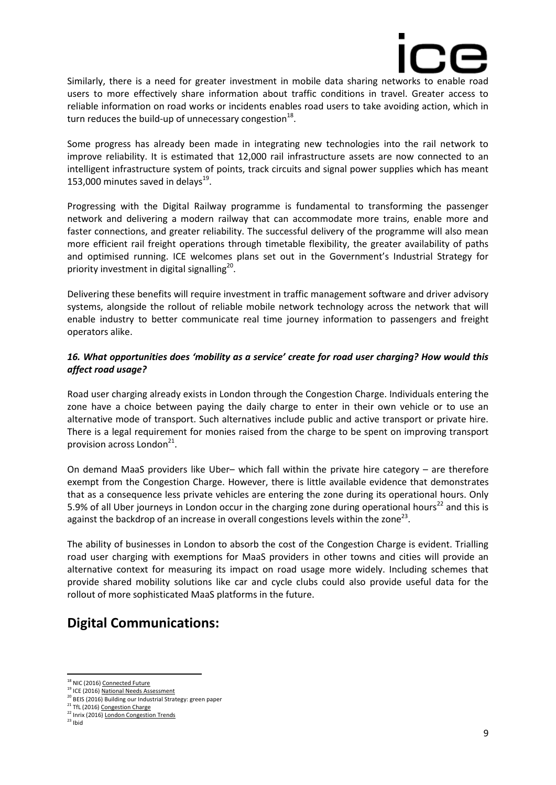

Similarly, there is a need for greater investment in mobile data sharing networks to enable road users to more effectively share information about traffic conditions in travel. Greater access to reliable information on road works or incidents enables road users to take avoiding action, which in turn reduces the build-up of unnecessary congestion $^{18}$ .

Some progress has already been made in integrating new technologies into the rail network to improve reliability. It is estimated that 12,000 rail infrastructure assets are now connected to an intelligent infrastructure system of points, track circuits and signal power supplies which has meant 153,000 minutes saved in delays $^{19}$ .

Progressing with the Digital Railway programme is fundamental to transforming the passenger network and delivering a modern railway that can accommodate more trains, enable more and faster connections, and greater reliability. The successful delivery of the programme will also mean more efficient rail freight operations through timetable flexibility, the greater availability of paths and optimised running. ICE welcomes plans set out in the Government's Industrial Strategy for priority investment in digital signalling<sup>20</sup>.

Delivering these benefits will require investment in traffic management software and driver advisory systems, alongside the rollout of reliable mobile network technology across the network that will enable industry to better communicate real time journey information to passengers and freight operators alike.

### *16. What opportunities does 'mobility as a service' create for road user charging? How would this affect road usage?*

Road user charging already exists in London through the Congestion Charge. Individuals entering the zone have a choice between paying the daily charge to enter in their own vehicle or to use an alternative mode of transport. Such alternatives include public and active transport or private hire. There is a legal requirement for monies raised from the charge to be spent on improving transport provision across London<sup>21</sup>.

On demand MaaS providers like Uber– which fall within the private hire category – are therefore exempt from the Congestion Charge. However, there is little available evidence that demonstrates that as a consequence less private vehicles are entering the zone during its operational hours. Only 5.9% of all Uber journeys in London occur in the charging zone during operational hours<sup>22</sup> and this is against the backdrop of an increase in overall congestions levels within the zone<sup>23</sup>.

The ability of businesses in London to absorb the cost of the Congestion Charge is evident. Trialling road user charging with exemptions for MaaS providers in other towns and cities will provide an alternative context for measuring its impact on road usage more widely. Including schemes that provide shared mobility solutions like car and cycle clubs could also provide useful data for the rollout of more sophisticated MaaS platforms in the future.

# **Digital Communications:**

<sup>&</sup>lt;sup>18</sup> NIC (2016[\) Connected Future](https://www.gov.uk/government/uploads/system/uploads/attachment_data/file/577906/CONNECTED_FUTURE_ACCESSIBLE.pdf)

<sup>19</sup> ICE (2016[\) National Needs Assessment](https://www.ice.org.uk/getattachment/media-and-policy/policy/national-needs-assessment-a-vision-for-uk-infrastr/National-Needs-Assessment-PDF-(1).pdf.aspx)

<sup>&</sup>lt;sup>20</sup> BEIS (2016) Building our Industrial Strategy: green paper

<sup>&</sup>lt;sup>21</sup> TfL (2016[\) Congestion Charge](http://content.tfl.gov.uk/congestion-charge-factsheet.pdf)

<sup>&</sup>lt;sup>22</sup> Inrix (2016[\) London Congestion Trends](http://londonfirst.co.uk/wp-content/uploads/2016/05/London-Congestion-Trends-FINAL.pdf)

 $23$  Ibid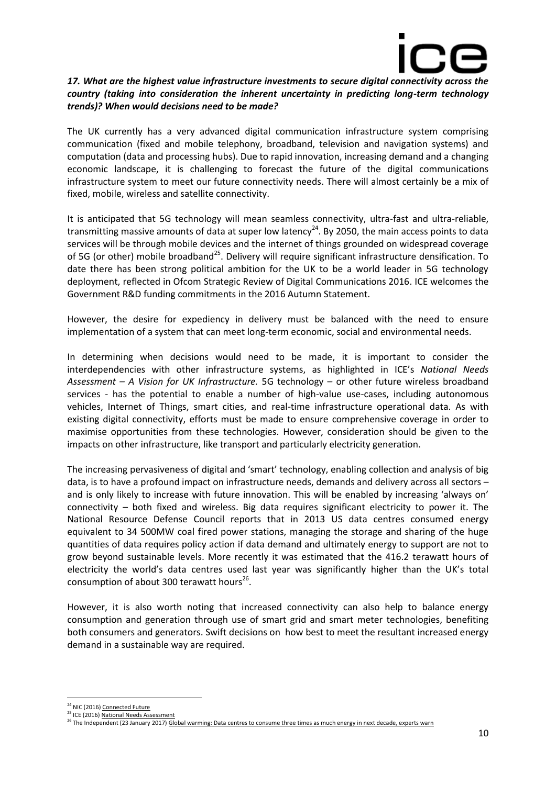

#### *17. What are the highest value infrastructure investments to secure digital connectivity across the country (taking into consideration the inherent uncertainty in predicting long-term technology trends)? When would decisions need to be made?*

The UK currently has a very advanced digital communication infrastructure system comprising communication (fixed and mobile telephony, broadband, television and navigation systems) and computation (data and processing hubs). Due to rapid innovation, increasing demand and a changing economic landscape, it is challenging to forecast the future of the digital communications infrastructure system to meet our future connectivity needs. There will almost certainly be a mix of fixed, mobile, wireless and satellite connectivity.

It is anticipated that 5G technology will mean seamless connectivity, ultra-fast and ultra-reliable, transmitting massive amounts of data at super low latency<sup>24</sup>. By 2050, the main access points to data services will be through mobile devices and the internet of things grounded on widespread coverage of 5G (or other) mobile broadband<sup>25</sup>. Delivery will require significant infrastructure densification. To date there has been strong political ambition for the UK to be a world leader in 5G technology deployment, reflected in Ofcom Strategic Review of Digital Communications 2016. ICE welcomes the Government R&D funding commitments in the 2016 Autumn Statement.

However, the desire for expediency in delivery must be balanced with the need to ensure implementation of a system that can meet long-term economic, social and environmental needs.

In determining when decisions would need to be made, it is important to consider the interdependencies with other infrastructure systems, as highlighted in ICE's *National Needs Assessment – A Vision for UK Infrastructure.* 5G technology – or other future wireless broadband services - has the potential to enable a number of high-value use-cases, including autonomous vehicles, Internet of Things, smart cities, and real-time infrastructure operational data. As with existing digital connectivity, efforts must be made to ensure comprehensive coverage in order to maximise opportunities from these technologies. However, consideration should be given to the impacts on other infrastructure, like transport and particularly electricity generation.

The increasing pervasiveness of digital and 'smart' technology, enabling collection and analysis of big data, is to have a profound impact on infrastructure needs, demands and delivery across all sectors – and is only likely to increase with future innovation. This will be enabled by increasing 'always on' connectivity – both fixed and wireless. Big data requires significant electricity to power it. The National Resource Defense Council reports that in 2013 US data centres consumed energy equivalent to 34 500MW coal fired power stations, managing the storage and sharing of the huge quantities of data requires policy action if data demand and ultimately energy to support are not to grow beyond sustainable levels. More recently it was estimated that the 416.2 terawatt hours of electricity the world's data centres used last year was significantly higher than the UK's total consumption of about 300 terawatt hours $^{26}$ .

However, it is also worth noting that increased connectivity can also help to balance energy consumption and generation through use of smart grid and smart meter technologies, benefiting both consumers and generators. Swift decisions on how best to meet the resultant increased energy demand in a sustainable way are required.

<sup>&</sup>lt;sup>24</sup> NIC (2016[\) Connected Future](https://www.gov.uk/government/publications/connected-future)

<sup>&</sup>lt;sup>25</sup> ICE (2016[\) National Needs Assessment](https://www.ice.org.uk/getattachment/media-and-policy/policy/national-needs-assessment-a-vision-for-uk-infrastr/National-Needs-Assessment-PDF-(1).pdf.aspx)

<sup>&</sup>lt;sup>26</sup> The Independent (23 January 2017[\) Global warming: Data centres to consume three times as much energy in next decade, experts warn](http://www.independent.co.uk/environment/global-warming-data-centres-to-consume-three-times-as-much-energy-in-next-decade-experts-warn-a6830086.html)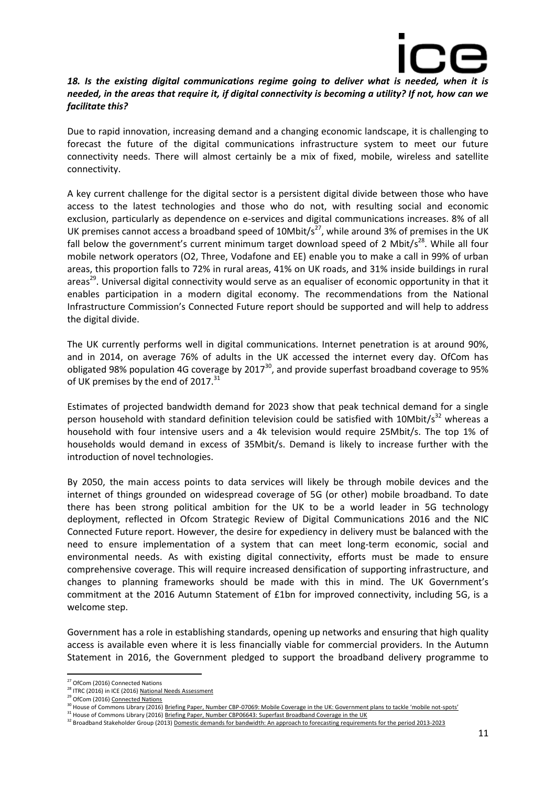

#### 18. Is the existing digital communications regime going to deliver what is needed, when it is *needed, in the areas that require it, if digital connectivity is becoming a utility? If not, how can we facilitate this?*

Due to rapid innovation, increasing demand and a changing economic landscape, it is challenging to forecast the future of the digital communications infrastructure system to meet our future connectivity needs. There will almost certainly be a mix of fixed, mobile, wireless and satellite connectivity.

A key current challenge for the digital sector is a persistent digital divide between those who have access to the latest technologies and those who do not, with resulting social and economic exclusion, particularly as dependence on e-services and digital communications increases. 8% of all UK premises cannot access a broadband speed of  $10Mbit/s<sup>27</sup>$ , while around 3% of premises in the UK fall below the government's current minimum target download speed of 2 Mbit/s<sup>28</sup>. While all four mobile network operators (O2, Three, Vodafone and EE) enable you to make a call in 99% of urban areas, this proportion falls to 72% in rural areas, 41% on UK roads, and 31% inside buildings in rural areas<sup>29</sup>. Universal digital connectivity would serve as an equaliser of economic opportunity in that it enables participation in a modern digital economy. The recommendations from the National Infrastructure Commission's Connected Future report should be supported and will help to address the digital divide.

The UK currently performs well in digital communications. Internet penetration is at around 90%, and in 2014, on average 76% of adults in the UK accessed the internet every day. OfCom has obligated 98% population 4G coverage by 2017 $^{30}$ , and provide superfast broadband coverage to 95% of UK premises by the end of 2017.<sup>31</sup>

Estimates of projected bandwidth demand for 2023 show that peak technical demand for a single person household with standard definition television could be satisfied with 10Mbit/s<sup>32</sup> whereas a household with four intensive users and a 4k television would require 25Mbit/s. The top 1% of households would demand in excess of 35Mbit/s. Demand is likely to increase further with the introduction of novel technologies.

By 2050, the main access points to data services will likely be through mobile devices and the internet of things grounded on widespread coverage of 5G (or other) mobile broadband. To date there has been strong political ambition for the UK to be a world leader in 5G technology deployment, reflected in Ofcom Strategic Review of Digital Communications 2016 and the NIC Connected Future report. However, the desire for expediency in delivery must be balanced with the need to ensure implementation of a system that can meet long-term economic, social and environmental needs. As with existing digital connectivity, efforts must be made to ensure comprehensive coverage. This will require increased densification of supporting infrastructure, and changes to planning frameworks should be made with this in mind. The UK Government's commitment at the 2016 Autumn Statement of £1bn for improved connectivity, including 5G, is a welcome step.

Government has a role in establishing standards, opening up networks and ensuring that high quality access is available even where it is less financially viable for commercial providers. In the Autumn Statement in 2016, the Government pledged to support the broadband delivery programme to

**.** 

<sup>31</sup> House of Commons Library (2016[\) Briefing Paper, Number CBP06643: Superfast Broadband Coverage in the UK](http://researchbriefings.parliament.uk/ResearchBriefing/Summary/SN06643)

<sup>&</sup>lt;sup>27</sup> OfCom (2016) Connected Nations

 $28$  ITRC (2016) in ICE (2016[\) National Needs Assessment](https://www.ice.org.uk/getattachment/media-and-policy/policy/national-needs-assessment-a-vision-for-uk-infrastr/National-Needs-Assessment-PDF-(1).pdf.aspx)

<sup>&</sup>lt;sup>29</sup> OfCom (2016[\) Connected Nations](https://www.ofcom.org.uk/research-and-data/infrastructure-research/connected-nations-2016)

<sup>&</sup>lt;sup>30</sup> House of Commons Library (2016) <u>Briefing Paper, Number CBP-07069: Mobile Coverage in the UK: Government plans to tackle 'mobile not-spots'</u>

<sup>&</sup>lt;sup>32</sup> Broadband Stakeholder Group (2013[\) Domestic demands for bandwidth: An approach to forecasting requirements for the period 2013-2023](http://www.broadbanduk.org/wp-content/uploads/2013/11/BSG-Domestic-demand-for-bandwidth.pdf)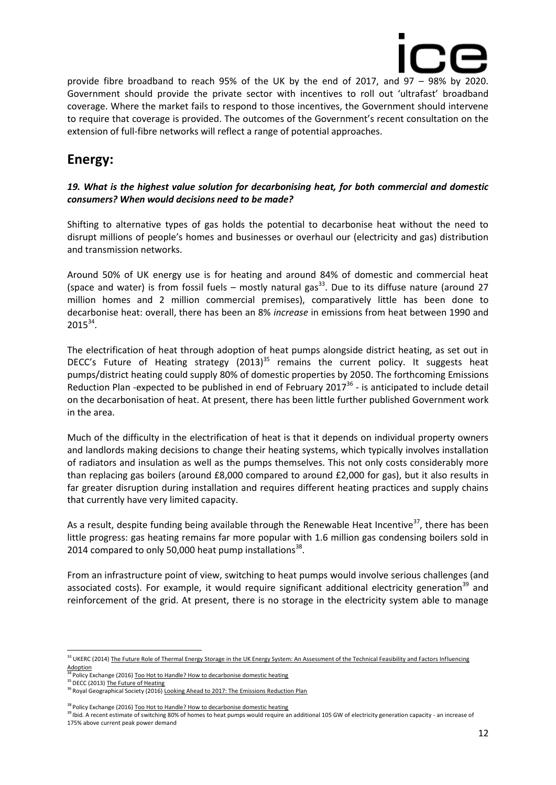

provide fibre broadband to reach 95% of the UK by the end of 2017, and 97 – 98% by 2020. Government should provide the private sector with incentives to roll out 'ultrafast' broadband coverage. Where the market fails to respond to those incentives, the Government should intervene to require that coverage is provided. The outcomes of the Government's recent consultation on the extension of full-fibre networks will reflect a range of potential approaches.

# **Energy:**

#### *19. What is the highest value solution for decarbonising heat, for both commercial and domestic consumers? When would decisions need to be made?*

Shifting to alternative types of gas holds the potential to decarbonise heat without the need to disrupt millions of people's homes and businesses or overhaul our (electricity and gas) distribution and transmission networks.

Around 50% of UK energy use is for heating and around 84% of domestic and commercial heat (space and water) is from fossil fuels – mostly natural gas $^{33}$ . Due to its diffuse nature (around 27 million homes and 2 million commercial premises), comparatively little has been done to decarbonise heat: overall, there has been an 8% *increase* in emissions from heat between 1990 and  $2015^{34}$ .

The electrification of heat through adoption of heat pumps alongside district heating, as set out in DECC's Future of Heating strategy  $(2013)^{35}$  remains the current policy. It suggests heat pumps/district heating could supply 80% of domestic properties by 2050. The forthcoming Emissions Reduction Plan -expected to be published in end of February 2017 $36$  - is anticipated to include detail on the decarbonisation of heat. At present, there has been little further published Government work in the area.

Much of the difficulty in the electrification of heat is that it depends on individual property owners and landlords making decisions to change their heating systems, which typically involves installation of radiators and insulation as well as the pumps themselves. This not only costs considerably more than replacing gas boilers (around £8,000 compared to around £2,000 for gas), but it also results in far greater disruption during installation and requires different heating practices and supply chains that currently have very limited capacity.

As a result, despite funding being available through the Renewable Heat Incentive<sup>37</sup>, there has been little progress: gas heating remains far more popular with 1.6 million gas condensing boilers sold in 2014 compared to only 50,000 heat pump installations $^{38}$ .

From an infrastructure point of view, switching to heat pumps would involve serious challenges (and associated costs). For example, it would require significant additional electricity generation<sup>39</sup> and reinforcement of the grid. At present, there is no storage in the electricity system able to manage

<sup>&</sup>lt;sup>33</sup> UKERC (2014) The Future Role of Thermal Energy Storage in the UK Energy System: An Assessment of the Technical Feasibility and Factors Influencing [Adoption](http://www.ukerc.ac.uk/publications/the-future-role-of-thermal-energy-storage-in-the-uk-energy-system.html)

Policy Exchange (2016[\) Too Hot to Handle? How to decarbonise domestic heating](https://policyexchange.org.uk/wp-content/uploads/2016/09/too-hot-to-handle-sept-16.pdf)

<sup>&</sup>lt;sup>35</sup> DECC (2013[\) The Future of Heating](https://www.gov.uk/government/uploads/system/uploads/attachment_data/file/190149/16_04-DECC-The_Future_of_Heating_Accessible-10.pdf)

<sup>&</sup>lt;sup>36</sup> Royal Geographical Society (2016[\) Looking Ahead to 2017: The Emissions Reduction Plan](https://21stcenturychallenges.org/2016/12/13/looking-ahead-to-2017-the-emissions-reduction-plan/)

<sup>&</sup>lt;sup>8</sup> Policy Exchange (2016[\) Too Hot to Handle? How to decarbonise domestic heating](https://policyexchange.org.uk/wp-content/uploads/2016/09/too-hot-to-handle-sept-16.pdf)

<sup>&</sup>lt;sup>39</sup> Ibid. A recent estimate of switching 80% of homes to heat pumps would require an additional 105 GW of electricity generation capacity - an increase of 175% above current peak power demand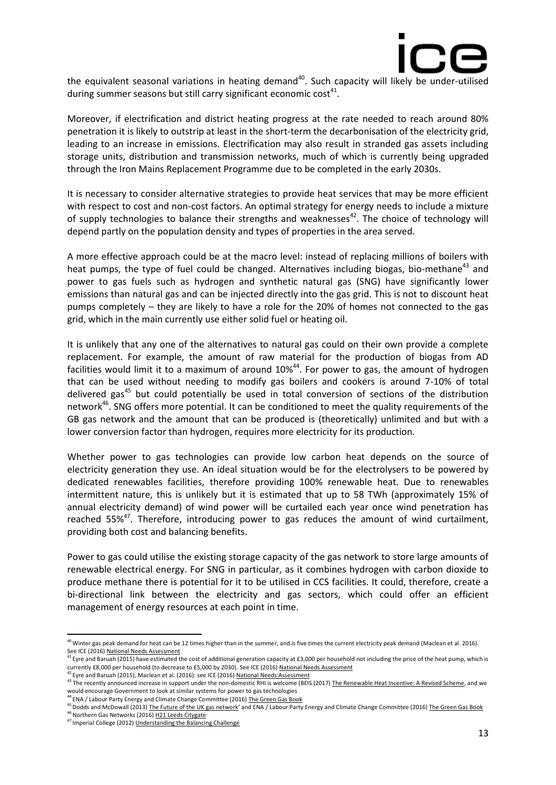

the equivalent seasonal variations in heating demand<sup>40</sup>. Such capacity will likely be under-utilised during summer seasons but still carry significant economic cost<sup>41</sup>.

Moreover, if electrification and district heating progress at the rate needed to reach around 80% penetration it is likely to outstrip at least in the short-term the decarbonisation of the electricity grid, leading to an increase in emissions. Electrification may also result in stranded gas assets including storage units, distribution and transmission networks, much of which is currently being upgraded through the Iron Mains Replacement Programme due to be completed in the early 2030s.

It is necessary to consider alternative strategies to provide heat services that may be more efficient with respect to cost and non-cost factors. An optimal strategy for energy needs to include a mixture of supply technologies to balance their strengths and weaknesses<sup>42</sup>. The choice of technology will depend partly on the population density and types of properties in the area served.

A more effective approach could be at the macro level: instead of replacing millions of boilers with heat pumps, the type of fuel could be changed. Alternatives including biogas, bio-methane<sup>43</sup> and power to gas fuels such as hydrogen and synthetic natural gas (SNG) have significantly lower emissions than natural gas and can be injected directly into the gas grid. This is not to discount heat pumps completely – they are likely to have a role for the 20% of homes not connected to the gas grid, which in the main currently use either solid fuel or heating oil.

It is unlikely that any one of the alternatives to natural gas could on their own provide a complete replacement. For example, the amount of raw material for the production of biogas from AD facilities would limit it to a maximum of around 10%<sup>44</sup>. For power to gas, the amount of hydrogen that can be used without needing to modify gas boilers and cookers is around 7-10% of total delivered gas<sup>45</sup> but could potentially be used in total conversion of sections of the distribution network<sup>46</sup>. SNG offers more potential. It can be conditioned to meet the quality requirements of the GB gas network and the amount that can be produced is (theoretically) unlimited and but with a lower conversion factor than hydrogen, requires more electricity for its production.

Whether power to gas technologies can provide low carbon heat depends on the source of electricity generation they use. An ideal situation would be for the electrolysers to be powered by dedicated renewables facilities, therefore providing 100% renewable heat. Due to renewables intermittent nature, this is unlikely but it is estimated that up to 58 TWh (approximately 15% of annual electricity demand) of wind power will be curtailed each year once wind penetration has reached 55%<sup>47</sup>. Therefore, introducing power to gas reduces the amount of wind curtailment, providing both cost and balancing benefits.

Power to gas could utilise the existing storage capacity of the gas network to store large amounts of renewable electrical energy. For SNG in particular, as it combines hydrogen with carbon dioxide to produce methane there is potential for it to be utilised in CCS facilities. It could, therefore, create a bi-directional link between the electricity and gas sectors, which could offer an efficient management of energy resources at each point in time.

 $^2$  Eyre and Baruah (2015), Maclean et al. (2016): see ICE (2016) <u>National Needs Assessment</u>

44 ENA / Labour Party Energy and Climate Change Committee (2016[\) The Green Gas Book](https://alansenergyblog.files.wordpress.com/2016/07/final-the-green-gas-book_96pp_v5.pdf)

<sup>&</sup>lt;sup>40</sup> Winter gas peak demand for heat can be 12 times higher than in the summer, and is five times the current electricity peak demand (Maclean et al. 2016).

See ICE (2016) <u>National Needs Assessment</u><br><sup>41</sup> Eyre and Baruah (2015) have estimated the cost of additional generation capacity at £3,000 per household not including the price of the heat pump, which is currently £8,000 per household (to decrease to £5,000 by 2030). See ICE (2016[\) National Needs Assessment](https://www.ice.org.uk/getattachment/media-and-policy/policy/national-needs-assessment-a-vision-for-uk-infrastr/National-Needs-Assessment-PDF-(1).pdf.aspx)

As the recently announced increase in support under the non-domestic RHI is welcome (BEIS (2017[\) The Renewable Heat Incentive: A Revised Scheme,](https://www.gov.uk/government/uploads/system/uploads/attachment_data/file/577024/RHI_Reform_Government_response_FINAL.pdf) and we would encourage Government to look at similar systems for power to gas technologies

<sup>&</sup>lt;sup>45</sup> Dodds and McDowall (2013[\) The Future of the UK gas network](https://www.ucl.ac.uk/energy-models/models/uk-markal/dodds-_-mcdowall-2013-future-gas-networks--energy-policy)' and ENA / Labour Party Energy and Climate Change Committee (2016[\) The Green Gas Book](https://alansenergyblog.files.wordpress.com/2016/07/final-the-green-gas-book_96pp_v5.pdf)  $46$  Northern Gas Networks (2016[\) H21 Leeds Citygate](http://www.smarternetworks.org/Project.aspx?ProjectID=1630#downloads)

<sup>47</sup> Imperial College (2012[\) Understanding the Balancing Challenge](https://www.gov.uk/government/uploads/system/uploads/attachment_data/file/48553/5767-understanding-the-balancing-challenge.pdf)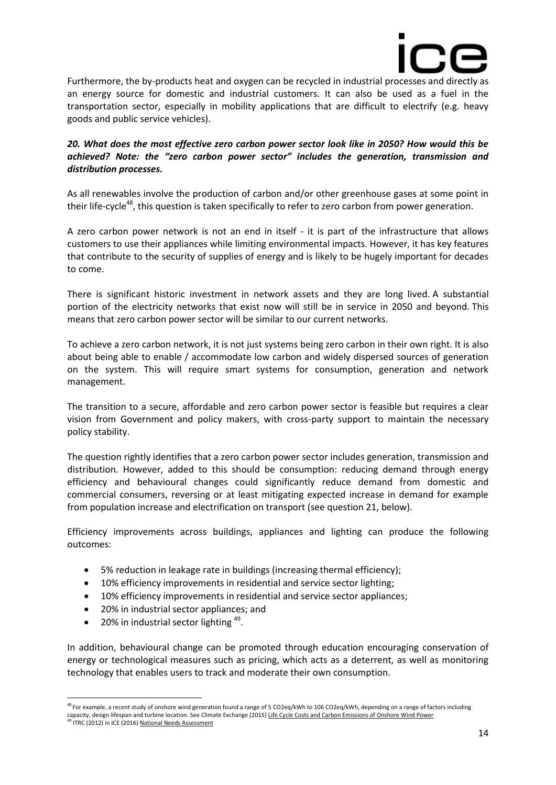

Furthermore, the by-products heat and oxygen can be recycled in industrial processes and directly as an energy source for domestic and industrial customers. It can also be used as a fuel in the transportation sector, especially in mobility applications that are difficult to electrify (e.g. heavy goods and public service vehicles).

#### *20. What does the most effective zero carbon power sector look like in 2050? How would this be achieved? Note: the "zero carbon power sector" includes the generation, transmission and distribution processes.*

As all renewables involve the production of carbon and/or other greenhouse gases at some point in their life-cycle<sup>48</sup>, this question is taken specifically to refer to zero carbon from power generation.

A zero carbon power network is not an end in itself - it is part of the infrastructure that allows customers to use their appliances while limiting environmental impacts. However, it has key features that contribute to the security of supplies of energy and is likely to be hugely important for decades to come.

There is significant historic investment in network assets and they are long lived. A substantial portion of the electricity networks that exist now will still be in service in 2050 and beyond. This means that zero carbon power sector will be similar to our current networks.

To achieve a zero carbon network, it is not just systems being zero carbon in their own right. It is also about being able to enable / accommodate low carbon and widely dispersed sources of generation on the system. This will require smart systems for consumption, generation and network management.

The transition to a secure, affordable and zero carbon power sector is feasible but requires a clear vision from Government and policy makers, with cross-party support to maintain the necessary policy stability.

The question rightly identifies that a zero carbon power sector includes generation, transmission and distribution. However, added to this should be consumption: reducing demand through energy efficiency and behavioural changes could significantly reduce demand from domestic and commercial consumers, reversing or at least mitigating expected increase in demand for example from population increase and electrification on transport (see question 21, below).

Efficiency improvements across buildings, appliances and lighting can produce the following outcomes:

- 5% reduction in leakage rate in buildings (increasing thermal efficiency);
- 10% efficiency improvements in residential and service sector lighting;
- 10% efficiency improvements in residential and service sector appliances;
- 20% in industrial sector appliances: and
- $\bullet$  20% in industrial sector lighting  $49$ .

**.** 

In addition, behavioural change can be promoted through education encouraging conservation of energy or technological measures such as pricing, which acts as a deterrent, as well as monitoring technology that enables users to track and moderate their own consumption.

<sup>&</sup>lt;sup>48</sup> For example, a recent study of onshore wind generation found a range of 5 CO2eq/kWh to 106 CO2eq/kWh, depending on a range of factors including capacity, design lifespan and turbine location. See Climate Exchange (2015) <u>[Life Cycle Costs and Carbon Emissions of Onshore Wind Power](http://www.climatexchange.org.uk/files/5314/3325/2390/Main_Report_-_Life_Cycle_Costs_and_Carbon_Emissions_of_Onshore_Wind_Power.pdf)</u><br><sup>49</sup> ITRC (2012) in ICE (2016) <u>National Needs Assessment</u>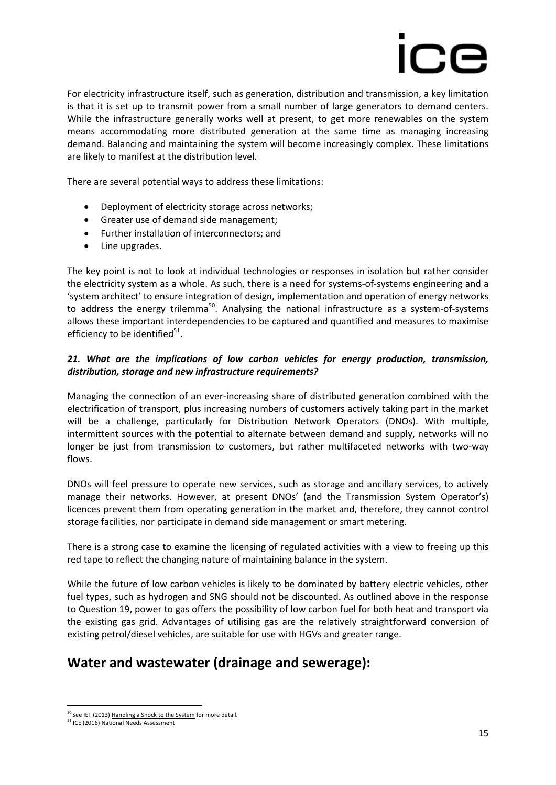For electricity infrastructure itself, such as generation, distribution and transmission, a key limitation is that it is set up to transmit power from a small number of large generators to demand centers. While the infrastructure generally works well at present, to get more renewables on the system means accommodating more distributed generation at the same time as managing increasing demand. Balancing and maintaining the system will become increasingly complex. These limitations are likely to manifest at the distribution level.

There are several potential ways to address these limitations:

- Deployment of electricity storage across networks;
- Greater use of demand side management;
- Further installation of interconnectors; and
- Line upgrades.

The key point is not to look at individual technologies or responses in isolation but rather consider the electricity system as a whole. As such, there is a need for systems-of-systems engineering and a 'system architect' to ensure integration of design, implementation and operation of energy networks to address the energy trilemma<sup>50</sup>. Analysing the national infrastructure as a system-of-systems allows these important interdependencies to be captured and quantified and measures to maximise efficiency to be identified<sup>51</sup>.

#### *21. What are the implications of low carbon vehicles for energy production, transmission, distribution, storage and new infrastructure requirements?*

Managing the connection of an ever-increasing share of distributed generation combined with the electrification of transport, plus increasing numbers of customers actively taking part in the market will be a challenge, particularly for Distribution Network Operators (DNOs). With multiple, intermittent sources with the potential to alternate between demand and supply, networks will no longer be just from transmission to customers, but rather multifaceted networks with two-way flows.

DNOs will feel pressure to operate new services, such as storage and ancillary services, to actively manage their networks. However, at present DNOs' (and the Transmission System Operator's) licences prevent them from operating generation in the market and, therefore, they cannot control storage facilities, nor participate in demand side management or smart metering.

There is a strong case to examine the licensing of regulated activities with a view to freeing up this red tape to reflect the changing nature of maintaining balance in the system.

While the future of low carbon vehicles is likely to be dominated by battery electric vehicles, other fuel types, such as hydrogen and SNG should not be discounted. As outlined above in the response to Question 19, power to gas offers the possibility of low carbon fuel for both heat and transport via the existing gas grid. Advantages of utilising gas are the relatively straightforward conversion of existing petrol/diesel vehicles, are suitable for use with HGVs and greater range.

# **Water and wastewater (drainage and sewerage):**

<sup>&</sup>lt;sup>50</sup> See IET (2013[\) Handling a Shock to the System](http://www.google.ie/url?sa=t&rct=j&q=&esrc=s&source=web&cd=2&ved=0CCoQFjABahUKEwjTku3UpOrIAhVBxQ8KHejdCuA&url=http%3A%2F%2Fwww.theiet.org%2Ffactfiles%2Fenergy%2Felec-shock-page.cfm%3Ftype%3Dpdf&usg=AFQjCNGP0_FKFRSETpyTOSi3XqIqe13NZw) for more detail.

<sup>&</sup>lt;sup>51</sup> ICE (2016[\) National Needs Assessment](https://www.ice.org.uk/getattachment/media-and-policy/policy/national-needs-assessment-a-vision-for-uk-infrastr/National-Needs-Assessment-PDF-(1).pdf.aspx)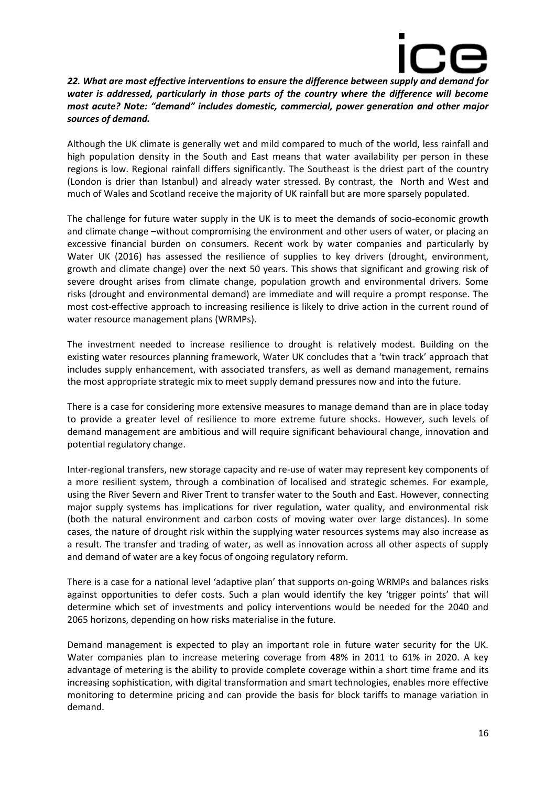

*22. What are most effective interventions to ensure the difference between supply and demand for water is addressed, particularly in those parts of the country where the difference will become most acute? Note: "demand" includes domestic, commercial, power generation and other major sources of demand.* 

Although the UK climate is generally wet and mild compared to much of the world, less rainfall and high population density in the South and East means that water availability per person in these regions is low. Regional rainfall differs significantly. The Southeast is the driest part of the country (London is drier than Istanbul) and already water stressed. By contrast, the North and West and much of Wales and Scotland receive the majority of UK rainfall but are more sparsely populated.

The challenge for future water supply in the UK is to meet the demands of socio-economic growth and climate change –without compromising the environment and other users of water, or placing an excessive financial burden on consumers. Recent work by water companies and particularly by Water UK (2016) has assessed the resilience of supplies to key drivers (drought, environment, growth and climate change) over the next 50 years. This shows that significant and growing risk of severe drought arises from climate change, population growth and environmental drivers. Some risks (drought and environmental demand) are immediate and will require a prompt response. The most cost-effective approach to increasing resilience is likely to drive action in the current round of water resource management plans (WRMPs).

The investment needed to increase resilience to drought is relatively modest. Building on the existing water resources planning framework, Water UK concludes that a 'twin track' approach that includes supply enhancement, with associated transfers, as well as demand management, remains the most appropriate strategic mix to meet supply demand pressures now and into the future.

There is a case for considering more extensive measures to manage demand than are in place today to provide a greater level of resilience to more extreme future shocks. However, such levels of demand management are ambitious and will require significant behavioural change, innovation and potential regulatory change.

Inter-regional transfers, new storage capacity and re-use of water may represent key components of a more resilient system, through a combination of localised and strategic schemes. For example, using the River Severn and River Trent to transfer water to the South and East. However, connecting major supply systems has implications for river regulation, water quality, and environmental risk (both the natural environment and carbon costs of moving water over large distances). In some cases, the nature of drought risk within the supplying water resources systems may also increase as a result. The transfer and trading of water, as well as innovation across all other aspects of supply and demand of water are a key focus of ongoing regulatory reform.

There is a case for a national level 'adaptive plan' that supports on-going WRMPs and balances risks against opportunities to defer costs. Such a plan would identify the key 'trigger points' that will determine which set of investments and policy interventions would be needed for the 2040 and 2065 horizons, depending on how risks materialise in the future.

Demand management is expected to play an important role in future water security for the UK. Water companies plan to increase metering coverage from 48% in 2011 to 61% in 2020. A key advantage of metering is the ability to provide complete coverage within a short time frame and its increasing sophistication, with digital transformation and smart technologies, enables more effective monitoring to determine pricing and can provide the basis for block tariffs to manage variation in demand.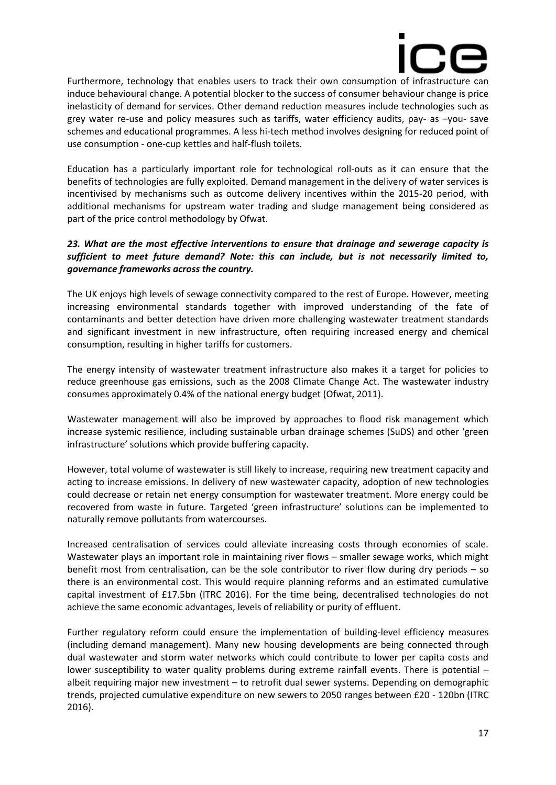

Furthermore, technology that enables users to track their own consumption of infrastructure can induce behavioural change. A potential blocker to the success of consumer behaviour change is price inelasticity of demand for services. Other demand reduction measures include technologies such as grey water re-use and policy measures such as tariffs, water efficiency audits, pay- as –you- save schemes and educational programmes. A less hi-tech method involves designing for reduced point of use consumption - one-cup kettles and half-flush toilets.

Education has a particularly important role for technological roll-outs as it can ensure that the benefits of technologies are fully exploited. Demand management in the delivery of water services is incentivised by mechanisms such as outcome delivery incentives within the 2015-20 period, with additional mechanisms for upstream water trading and sludge management being considered as part of the price control methodology by Ofwat.

#### *23. What are the most effective interventions to ensure that drainage and sewerage capacity is sufficient to meet future demand? Note: this can include, but is not necessarily limited to, governance frameworks across the country.*

The UK enjoys high levels of sewage connectivity compared to the rest of Europe. However, meeting increasing environmental standards together with improved understanding of the fate of contaminants and better detection have driven more challenging wastewater treatment standards and significant investment in new infrastructure, often requiring increased energy and chemical consumption, resulting in higher tariffs for customers.

The energy intensity of wastewater treatment infrastructure also makes it a target for policies to reduce greenhouse gas emissions, such as the 2008 Climate Change Act. The wastewater industry consumes approximately 0.4% of the national energy budget (Ofwat, 2011).

Wastewater management will also be improved by approaches to flood risk management which increase systemic resilience, including sustainable urban drainage schemes (SuDS) and other 'green infrastructure' solutions which provide buffering capacity.

However, total volume of wastewater is still likely to increase, requiring new treatment capacity and acting to increase emissions. In delivery of new wastewater capacity, adoption of new technologies could decrease or retain net energy consumption for wastewater treatment. More energy could be recovered from waste in future. Targeted 'green infrastructure' solutions can be implemented to naturally remove pollutants from watercourses.

Increased centralisation of services could alleviate increasing costs through economies of scale. Wastewater plays an important role in maintaining river flows – smaller sewage works, which might benefit most from centralisation, can be the sole contributor to river flow during dry periods – so there is an environmental cost. This would require planning reforms and an estimated cumulative capital investment of £17.5bn (ITRC 2016). For the time being, decentralised technologies do not achieve the same economic advantages, levels of reliability or purity of effluent.

Further regulatory reform could ensure the implementation of building-level efficiency measures (including demand management). Many new housing developments are being connected through dual wastewater and storm water networks which could contribute to lower per capita costs and lower susceptibility to water quality problems during extreme rainfall events. There is potential – albeit requiring major new investment – to retrofit dual sewer systems. Depending on demographic trends, projected cumulative expenditure on new sewers to 2050 ranges between £20 - 120bn (ITRC 2016).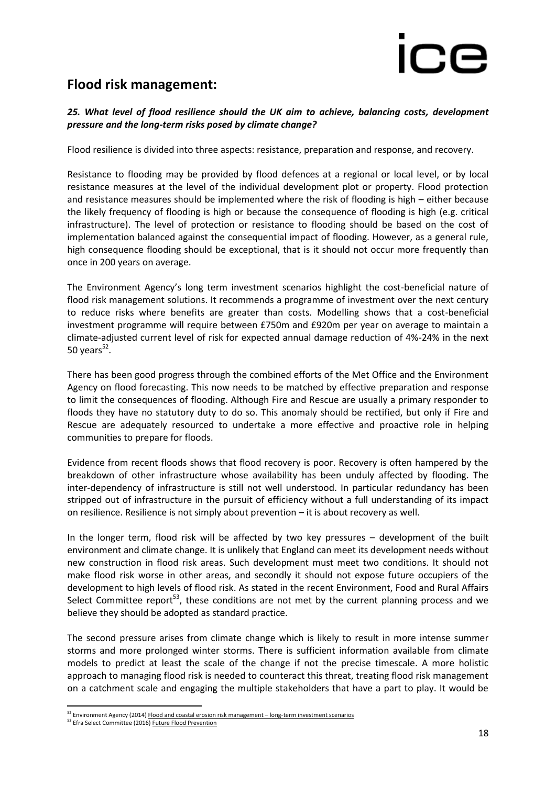# **Flood risk management:**

### *25. What level of flood resilience should the UK aim to achieve, balancing costs, development pressure and the long-term risks posed by climate change?*

Flood resilience is divided into three aspects: resistance, preparation and response, and recovery.

Resistance to flooding may be provided by flood defences at a regional or local level, or by local resistance measures at the level of the individual development plot or property. Flood protection and resistance measures should be implemented where the risk of flooding is high – either because the likely frequency of flooding is high or because the consequence of flooding is high (e.g. critical infrastructure). The level of protection or resistance to flooding should be based on the cost of implementation balanced against the consequential impact of flooding. However, as a general rule, high consequence flooding should be exceptional, that is it should not occur more frequently than once in 200 years on average.

The Environment Agency's long term investment scenarios highlight the cost-beneficial nature of flood risk management solutions. It recommends a programme of investment over the next century to reduce risks where benefits are greater than costs. Modelling shows that a cost-beneficial investment programme will require between £750m and £920m per year on average to maintain a climate-adjusted current level of risk for expected annual damage reduction of 4%-24% in the next 50 years $52$ .

There has been good progress through the combined efforts of the Met Office and the Environment Agency on flood forecasting. This now needs to be matched by effective preparation and response to limit the consequences of flooding. Although Fire and Rescue are usually a primary responder to floods they have no statutory duty to do so. This anomaly should be rectified, but only if Fire and Rescue are adequately resourced to undertake a more effective and proactive role in helping communities to prepare for floods.

Evidence from recent floods shows that flood recovery is poor. Recovery is often hampered by the breakdown of other infrastructure whose availability has been unduly affected by flooding. The inter-dependency of infrastructure is still not well understood. In particular redundancy has been stripped out of infrastructure in the pursuit of efficiency without a full understanding of its impact on resilience. Resilience is not simply about prevention – it is about recovery as well.

In the longer term, flood risk will be affected by two key pressures – development of the built environment and climate change. It is unlikely that England can meet its development needs without new construction in flood risk areas. Such development must meet two conditions. It should not make flood risk worse in other areas, and secondly it should not expose future occupiers of the development to high levels of flood risk. As stated in the recent Environment, Food and Rural Affairs Select Committee report $53$ , these conditions are not met by the current planning process and we believe they should be adopted as standard practice.

The second pressure arises from climate change which is likely to result in more intense summer storms and more prolonged winter storms. There is sufficient information available from climate models to predict at least the scale of the change if not the precise timescale. A more holistic approach to managing flood risk is needed to counteract this threat, treating flood risk management on a catchment scale and engaging the multiple stakeholders that have a part to play. It would be

**<sup>.</sup>** <sup>52</sup> Environment Agency (2014[\) Flood and coastal erosion risk management](https://www.gov.uk/government/uploads/system/uploads/attachment_data/file/381939/FCRM_Long_term_investment_scenarios.pdf) – long-term investment scenarios

<sup>&</sup>lt;sup>53</sup> Efra Select Committee (2016) **Future Flood Prevention**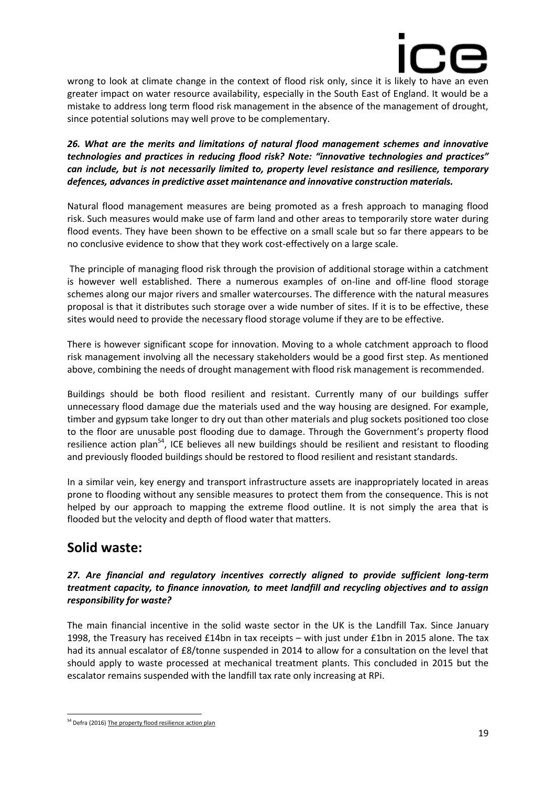

wrong to look at climate change in the context of flood risk only, since it is likely to have an even greater impact on water resource availability, especially in the South East of England. It would be a mistake to address long term flood risk management in the absence of the management of drought, since potential solutions may well prove to be complementary.

*26. What are the merits and limitations of natural flood management schemes and innovative technologies and practices in reducing flood risk? Note: "innovative technologies and practices" can include, but is not necessarily limited to, property level resistance and resilience, temporary defences, advances in predictive asset maintenance and innovative construction materials.*

Natural flood management measures are being promoted as a fresh approach to managing flood risk. Such measures would make use of farm land and other areas to temporarily store water during flood events. They have been shown to be effective on a small scale but so far there appears to be no conclusive evidence to show that they work cost-effectively on a large scale.

The principle of managing flood risk through the provision of additional storage within a catchment is however well established. There a numerous examples of on-line and off-line flood storage schemes along our major rivers and smaller watercourses. The difference with the natural measures proposal is that it distributes such storage over a wide number of sites. If it is to be effective, these sites would need to provide the necessary flood storage volume if they are to be effective.

There is however significant scope for innovation. Moving to a whole catchment approach to flood risk management involving all the necessary stakeholders would be a good first step. As mentioned above, combining the needs of drought management with flood risk management is recommended.

Buildings should be both flood resilient and resistant. Currently many of our buildings suffer unnecessary flood damage due the materials used and the way housing are designed. For example, timber and gypsum take longer to dry out than other materials and plug sockets positioned too close to the floor are unusable post flooding due to damage. Through the Government's property flood resilience action plan<sup>54</sup>, ICE believes all new buildings should be resilient and resistant to flooding and previously flooded buildings should be restored to flood resilient and resistant standards.

In a similar vein, key energy and transport infrastructure assets are inappropriately located in areas prone to flooding without any sensible measures to protect them from the consequence. This is not helped by our approach to mapping the extreme flood outline. It is not simply the area that is flooded but the velocity and depth of flood water that matters.

# **Solid waste:**

### *27. Are financial and regulatory incentives correctly aligned to provide sufficient long-term treatment capacity, to finance innovation, to meet landfill and recycling objectives and to assign responsibility for waste?*

The main financial incentive in the solid waste sector in the UK is the Landfill Tax. Since January 1998, the Treasury has received £14bn in tax receipts – with just under £1bn in 2015 alone. The tax had its annual escalator of £8/tonne suspended in 2014 to allow for a consultation on the level that should apply to waste processed at mechanical treatment plants. This concluded in 2015 but the escalator remains suspended with the landfill tax rate only increasing at RPi.

 $\overline{a}$ <sup>54</sup> Defra (2016[\) The property flood resilience action plan](https://www.gov.uk/government/uploads/system/uploads/attachment_data/file/551615/flood-resilience-bonfield-action-plan-2016.pdf)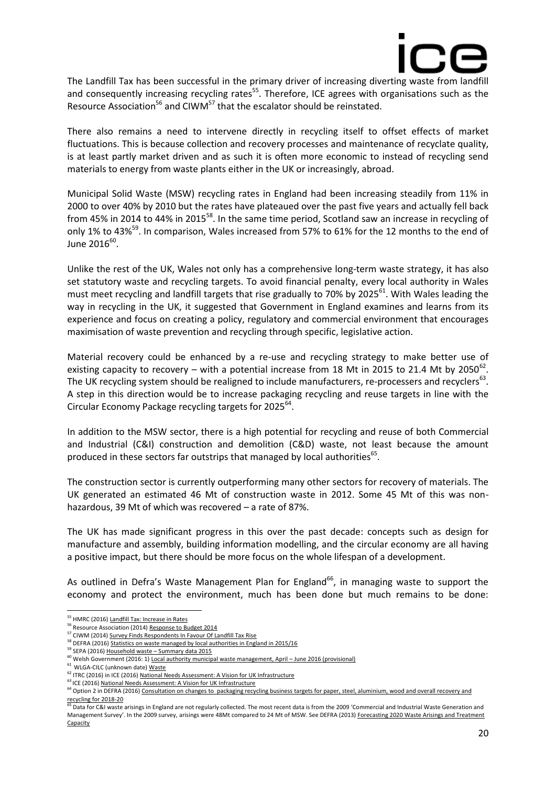

The Landfill Tax has been successful in the primary driver of increasing diverting waste from landfill and consequently increasing recycling rates<sup>55</sup>. Therefore, ICE agrees with organisations such as the Resource Association<sup>56</sup> and CIWM<sup>57</sup> that the escalator should be reinstated.

There also remains a need to intervene directly in recycling itself to offset effects of market fluctuations. This is because collection and recovery processes and maintenance of recyclate quality, is at least partly market driven and as such it is often more economic to instead of recycling send materials to energy from waste plants either in the UK or increasingly, abroad.

Municipal Solid Waste (MSW) recycling rates in England had been increasing steadily from 11% in 2000 to over 40% by 2010 but the rates have plateaued over the past five years and actually fell back from 45% in 2014 to 44% in 2015<sup>58</sup>. In the same time period, Scotland saw an increase in recycling of only 1% to 43%<sup>59</sup>. In comparison, Wales increased from 57% to 61% for the 12 months to the end of June 2016 $^{60}$ .

Unlike the rest of the UK, Wales not only has a comprehensive long-term waste strategy, it has also set statutory waste and recycling targets. To avoid financial penalty, every local authority in Wales must meet recycling and landfill targets that rise gradually to 70% by 2025<sup>61</sup>. With Wales leading the way in recycling in the UK, it suggested that Government in England examines and learns from its experience and focus on creating a policy, regulatory and commercial environment that encourages maximisation of waste prevention and recycling through specific, legislative action.

Material recovery could be enhanced by a re-use and recycling strategy to make better use of existing capacity to recovery – with a potential increase from 18 Mt in 2015 to 21.4 Mt by 2050 $^{62}$ . The UK recycling system should be realigned to include manufacturers, re-processers and recyclers<sup>63</sup>. A step in this direction would be to increase packaging recycling and reuse targets in line with the Circular Economy Package recycling targets for 2025<sup>64</sup>.

In addition to the MSW sector, there is a high potential for recycling and reuse of both Commercial and Industrial (C&I) construction and demolition (C&D) waste, not least because the amount produced in these sectors far outstrips that managed by local authorities $^{65}$ .

The construction sector is currently outperforming many other sectors for recovery of materials. The UK generated an estimated 46 Mt of construction waste in 2012. Some 45 Mt of this was nonhazardous, 39 Mt of which was recovered – a rate of 87%.

The UK has made significant progress in this over the past decade: concepts such as design for manufacture and assembly, building information modelling, and the circular economy are all having a positive impact, but there should be more focus on the whole lifespan of a development.

As outlined in Defra's Waste Management Plan for England<sup>66</sup>, in managing waste to support the economy and protect the environment, much has been done but much remains to be done:

1

<sup>&</sup>lt;sup>55</sup> HMRC (2016[\) Landfill Tax: Increase in Rates](https://www.gov.uk/government/publications/landfill-tax-increase-in-rates/landfill-tax-increase-in-rates#policy-objective)

ERESOURCE ASSOCIATION (2014[\) Response to Budget 2014](http://www.resourceassociation.com/news/resource-association-response-budget-2014-%E2%80%93-picking-out-%E2%80%98nuggets-value%E2%80%99-another-thin-budget)

<sup>57</sup> CIWM (2014[\) Survey Finds Respondents In Favour Of Landfill Tax Rise](http://www.ciwm-journal.co.uk/industry-in-favour-of-landfill-tax-rising-to-100-and-beyond-ciwm-survey-finds/)

<sup>&</sup>lt;sup>58</sup> DEFRA (2016[\) Statistics on waste managed by local authorities in England in 2015/16](https://www.gov.uk/government/uploads/system/uploads/attachment_data/file/577716/FINAL_Stats_Notice_Nov_2016.pdf)

 $59$  SEPA (2016) Household waste – [Summary data 2015](https://www.sepa.org.uk/media/219489/2015-household-waste-summary-data-with-commentary.pdf)

<sup>60</sup> Welsh Government (2016: 1[\) Local authority municipal waste management, April](http://gov.wales/docs/statistics/2016/161215-local-authority-municipal-waste-management-april-june-2016-en.pdf) – June 2016 (provisional)

<sup>&</sup>lt;sup>61</sup> WLGA-CILC (unknown date[\) Waste](http://www.wlga.gov.uk/waste)

<sup>&</sup>lt;sup>62</sup> ITRC (2016) in ICE (2016[\) National Needs Assessment: A Vision for UK Infrastructure](https://www.ice.org.uk/getattachment/media-and-policy/policy/national-needs-assessment-a-vision-for-uk-infrastr/National-Needs-Assessment-PDF-(1).pdf.aspx)

<sup>&</sup>lt;sup>63</sup> ICE (2016[\) National Needs Assessment: A Vision for UK Infrastructure](https://www.ice.org.uk/getattachment/media-and-policy/policy/national-needs-assessment-a-vision-for-uk-infrastr/National-Needs-Assessment-PDF-(1).pdf.aspx)

<sup>&</sup>lt;sup>64</sup> Option 2 in DEFRA (2016) Consultation on changes to packaging recycling business targets for paper, steel, aluminium, wood and overall recovery and [recycling for 2018-20](https://consult.defra.gov.uk/waste/packagingtargets2018-20/supporting_documents/Packaging%20Targets%20Consultation%20Doc%202016%20final.pdf)

Data for C&I waste arisings in England are not regularly collected. The most recent data is from the 2009 'Commercial and Industrial Waste Generation and Management Survey'. In the 2009 survey, arisings were 48Mt compared to 24 Mt of MSW. See DEFRA (2013[\) Forecasting 2020 Waste Arisings and Treatment](https://www.gov.uk/government/uploads/system/uploads/attachment_data/file/251567/pb13883-forecasting-2020-waste-arisings-131017.pdf)  [Capacity](https://www.gov.uk/government/uploads/system/uploads/attachment_data/file/251567/pb13883-forecasting-2020-waste-arisings-131017.pdf)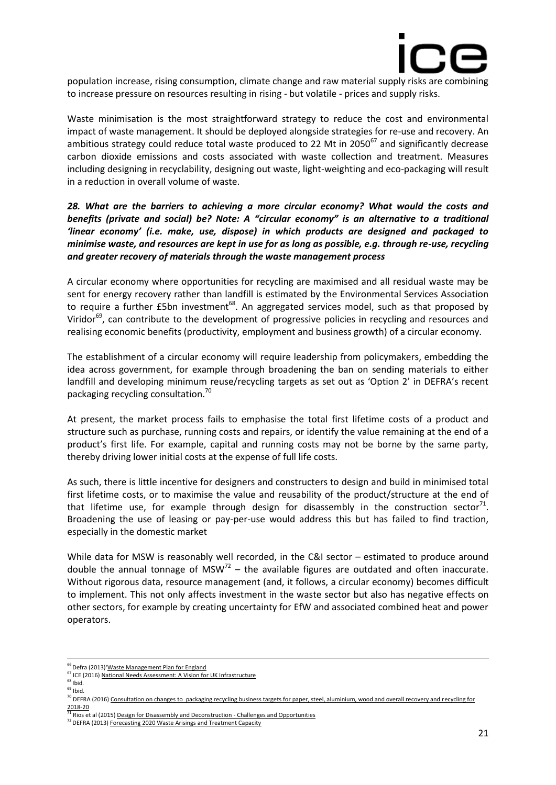

population increase, rising consumption, climate change and raw material supply risks are combining to increase pressure on resources resulting in rising - but volatile - prices and supply risks.

Waste minimisation is the most straightforward strategy to reduce the cost and environmental impact of waste management. It should be deployed alongside strategies for re-use and recovery. An ambitious strategy could reduce total waste produced to 22 Mt in  $2050^{67}$  and significantly decrease carbon dioxide emissions and costs associated with waste collection and treatment. Measures including designing in recyclability, designing out waste, light-weighting and eco-packaging will result in a reduction in overall volume of waste.

*28. What are the barriers to achieving a more circular economy? What would the costs and benefits (private and social) be? Note: A "circular economy" is an alternative to a traditional 'linear economy' (i.e. make, use, dispose) in which products are designed and packaged to minimise waste, and resources are kept in use for as long as possible, e.g. through re-use, recycling and greater recovery of materials through the waste management process*

A circular economy where opportunities for recycling are maximised and all residual waste may be sent for energy recovery rather than landfill is estimated by the Environmental Services Association to require a further  $£5$ bn investment<sup>68</sup>. An aggregated services model, such as that proposed by Viridor<sup>69</sup>, can contribute to the development of progressive policies in recycling and resources and realising economic benefits (productivity, employment and business growth) of a circular economy.

The establishment of a circular economy will require leadership from policymakers, embedding the idea across government, for example through broadening the ban on sending materials to either landfill and developing minimum reuse/recycling targets as set out as 'Option 2' in DEFRA's recent packaging recycling consultation.<sup>70</sup>

At present, the market process fails to emphasise the total first lifetime costs of a product and structure such as purchase, running costs and repairs, or identify the value remaining at the end of a product's first life. For example, capital and running costs may not be borne by the same party, thereby driving lower initial costs at the expense of full life costs.

As such, there is little incentive for designers and constructers to design and build in minimised total first lifetime costs, or to maximise the value and reusability of the product/structure at the end of that lifetime use, for example through design for disassembly in the construction sector<sup>71</sup>. Broadening the use of leasing or pay-per-use would address this but has failed to find traction, especially in the domestic market

While data for MSW is reasonably well recorded, in the C&I sector – estimated to produce around double the annual tonnage of  $MSW<sup>72</sup>$  – the available figures are outdated and often inaccurate. Without rigorous data, resource management (and, it follows, a circular economy) becomes difficult to implement. This not only affects investment in the waste sector but also has negative effects on other sectors, for example by creating uncertainty for EfW and associated combined heat and power operators.

**.** 

 $69$  Ibid.

<sup>&</sup>lt;sup>66</sup> Defra (2013)'<u>Waste Management Plan for England</u>

<sup>&</sup>lt;sup>67</sup> ICE (2016[\) National Needs Assessment: A Vision for UK Infrastructure](https://www.ice.org.uk/getattachment/media-and-policy/policy/national-needs-assessment-a-vision-for-uk-infrastr/National-Needs-Assessment-PDF-(1).pdf.aspx)

 $68$  Ibid.

<sup>&</sup>lt;sup>70</sup> DEFRA (2016) Consultation on changes to packaging recycling business targets for paper, steel, aluminium, wood and overall recovery and recycling for

[<sup>2018-20</sup>](https://consult.defra.gov.uk/waste/packagingtargets2018-20/supporting_documents/Packaging%20Targets%20Consultation%20Doc%202016%20final.pdf) <sup>71</sup> Rios et al (2015[\) Design for Disassembly and Deconstruction -](http://www.sciencedirect.com/science/article/pii/S1877705815021402) Challenges and Opportunities

<sup>&</sup>lt;sup>72</sup> DEFRA (2013[\) Forecasting 2020 Waste Arisings and Treatment Capacity](https://www.gov.uk/government/uploads/system/uploads/attachment_data/file/251567/pb13883-forecasting-2020-waste-arisings-131017.pdf)